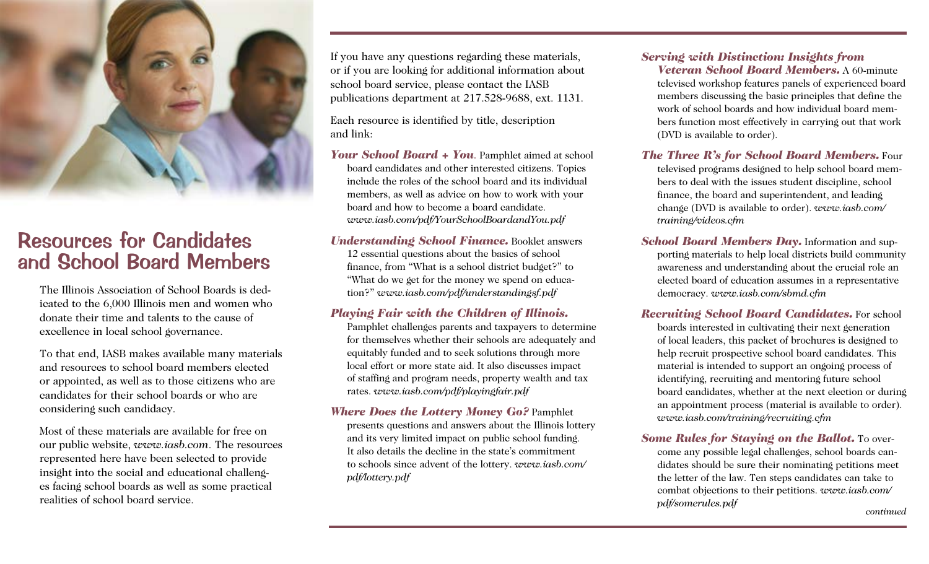

# Resources for Candidates and School Board Members

The Illinois Association of School Boards is dedicated to the 6,000 Illinois men and women who donate their time and talents to the cause of excellence in local school governance.

To that end, IASB makes available many materials and resources to school board members elected or appointed, as well as to those citizens who are candidates for their school boards or who are considering such candidacy.

Most of these materials are available for free on our public website, *www.iasb.com*. The resources represented here have been selected to provide insight into the social and educational challenges facing school boards as well as some practical realities of school board service.

If you have any questions regarding these materials, or if you are looking for additional information about school board service, please contact the IASB publications department at 217.528-9688, ext. 1131.

Each resource is identified by title, description and link:

*Your School Board + You*. Pamphlet aimed at school board candidates and other interested citizens. Topics include the roles of the school board and its individual members, as well as advice on how to work with your board and how to become a board candidate. *www.iasb.com/pdf/YourSchoolBoardandYou.pdf*

*Understanding School Finance.* Booklet answers 12 essential questions about the basics of school finance, from "What is a school district budget?" to "What do we get for the money we spend on education?" *www.iasb.com/pdf/understandingsf.pdf*

# *Playing Fair with the Children of Illinois.*

Pamphlet challenges parents and taxpayers to determine for themselves whether their schools are adequately and equitably funded and to seek solutions through more local effort or more state aid. It also discusses impact of staffing and program needs, property wealth and tax rates. *www.iasb.com/pdf/playingfair.pdf*

*Where Does the Lottery Money Go?* Pamphlet presents questions and answers about the Illinois lottery and its very limited impact on public school funding. It also details the decline in the state's commitment to schools since advent of the lottery. *www.iasb.com/ pdf/lottery.pdf*

#### *Serving with Distinction: Insights from Veteran School Board Members.* A 60-minute

televised workshop features panels of experienced board members discussing the basic principles that define the work of school boards and how individual board members function most effectively in carrying out that work (DVD is available to order).

*The Three R's for School Board Members.* Four televised programs designed to help school board members to deal with the issues student discipline, school finance, the board and superintendent, and leading change (DVD is available to order). *www.iasb.com/ training/videos.cfm*

*School Board Members Day.* Information and supporting materials to help local districts build community awareness and understanding about the crucial role an elected board of education assumes in a representative democracy. *www.iasb.com/sbmd.cfm*

*Recruiting School Board Candidates.* For school boards interested in cultivating their next generation of local leaders, this packet of brochures is designed to help recruit prospective school board candidates. This material is intended to support an ongoing process of identifying, recruiting and mentoring future school board candidates, whether at the next election or during an appointment process (material is available to order). *www.iasb.com/training/recruiting.cfm*

*Some Rules for Staying on the Ballot.* To overcome any possible legal challenges, school boards candidates should be sure their nominating petitions meet the letter of the law. Ten steps candidates can take to combat objections to their petitions. *www.iasb.com/ pdf/somerules.pdf continued*